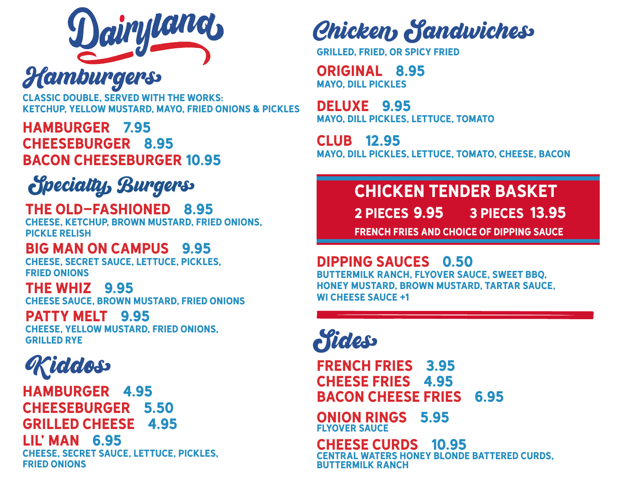

**Hamburgers** 

classic double, served with The Works: ketchup, yellow mustard, mayo, fried onions & pickles

HAMburger 7.95 Cheeseburger 8.95 Bacon Cheeseburger 10.95

### Specialty Burgers

#### The Old-Fashioned 8.95 cheese, ketchup, Brown mustard, fried onions, pickle relish

### Big Man on Campus 9.95

cheese, secret sauce, lettuce, pickles, fried onions

### The Whiz 9.95

cheese sauce, brown mustard, fried onions

### Patty melt 9.95

cheese, yellow mustard, fried onions, **GRILLED RYF** 

### Kiddo�

hamburger 4.95 Cheeseburger 5.50 grilled cheese 4.95 lil' man 6.95 cheese, secret sauce, lettuce, pickles, fried onions

### Chicken Sandwiches

Grilled, Fried, or spicy fried

Original 8.95 mayo, dill pickles

Deluxe 9.95 mayo, dill pickles, lettuce, tomato

Club 12.95 mayo, dill pickles, lettuce, tomato, Cheese, Bacon

### Chicken Tender Basket

9.95 13.95 2 PIECES 9.95

french fries and choice of dipping sauce

### Dipping sauces 0.50

Buttermilk ranch, flyover sauce, sweet bbq, honey mustard, brown mustard, tartar sauce, wi cheese sauce +1

**Pides** 

French Fries 3.95 Cheese Fries 4.95 Bacon Cheese Fries 6.95

Onion Rings 5.95 flyover sauce

CHEESE CURDS 10.95 Central Waters Honey Blonde Battered curds, buttermilk ranch